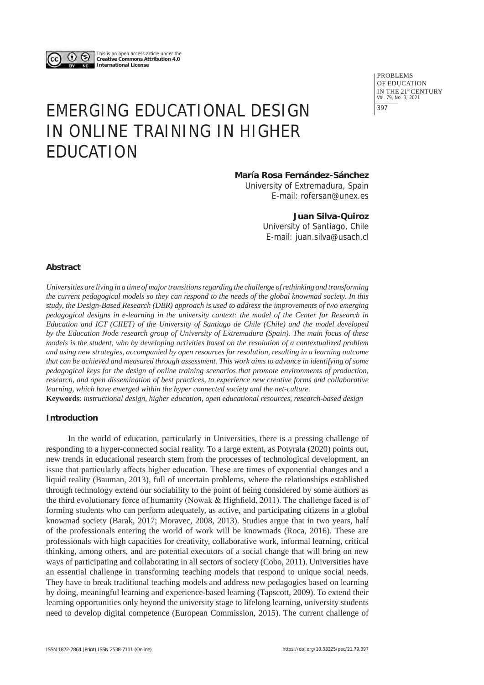

This is an open access article under the **Creative Commons Attribution 4.0 International License**

> PROBLEMS OF EDUCATION IN THE 21st CENTURY Vol. 79, No. 3, 2021 397

# EMERGING EDUCATIONAL DESIGN IN ONLINE TRAINING IN HIGHER EDUCATION

**María Rosa Fernández-Sánchez**

University of Extremadura, Spain E-mail: rofersan@unex.es

# **Juan Silva-Quiroz**

University of Santiago, Chile E-mail: juan.silva@usach.cl

## **Abstract**

*Universities are living in a time of major transitions regarding the challenge of rethinking and transforming the current pedagogical models so they can respond to the needs of the global knowmad society. In this study, the Design-Based Research (DBR) approach is used to address the improvements of two emerging pedagogical designs in e-learning in the university context: the model of the Center for Research in Education and ICT (CIIET) of the University of Santiago de Chile (Chile) and the model developed by the Education Node research group of University of Extremadura (Spain). The main focus of these models is the student, who by developing activities based on the resolution of a contextualized problem and using new strategies, accompanied by open resources for resolution, resulting in a learning outcome that can be achieved and measured through assessment. This work aims to advance in identifying of some pedagogical keys for the design of online training scenarios that promote environments of production, research, and open dissemination of best practices, to experience new creative forms and collaborative learning, which have emerged within the hyper connected society and the net-culture.* 

**Keywords**: *instructional design, higher education, open educational resources, research-based design*

# **Introduction**

In the world of education, particularly in Universities, there is a pressing challenge of responding to a hyper-connected social reality. To a large extent, as Potyrala (2020) points out, new trends in educational research stem from the processes of technological development, an issue that particularly affects higher education. These are times of exponential changes and a liquid reality (Bauman, 2013), full of uncertain problems, where the relationships established through technology extend our sociability to the point of being considered by some authors as the third evolutionary force of humanity (Nowak & Highfield, 2011). The challenge faced is of forming students who can perform adequately, as active, and participating citizens in a global knowmad society (Barak, 2017; Moravec, 2008, 2013). Studies argue that in two years, half of the professionals entering the world of work will be knowmads (Roca, 2016). These are professionals with high capacities for creativity, collaborative work, informal learning, critical thinking, among others, and are potential executors of a social change that will bring on new ways of participating and collaborating in all sectors of society (Cobo, 2011). Universities have an essential challenge in transforming teaching models that respond to unique social needs. They have to break traditional teaching models and address new pedagogies based on learning by doing, meaningful learning and experience-based learning (Tapscott, 2009). To extend their learning opportunities only beyond the university stage to lifelong learning, university students need to develop digital competence (European Commission, 2015). The current challenge of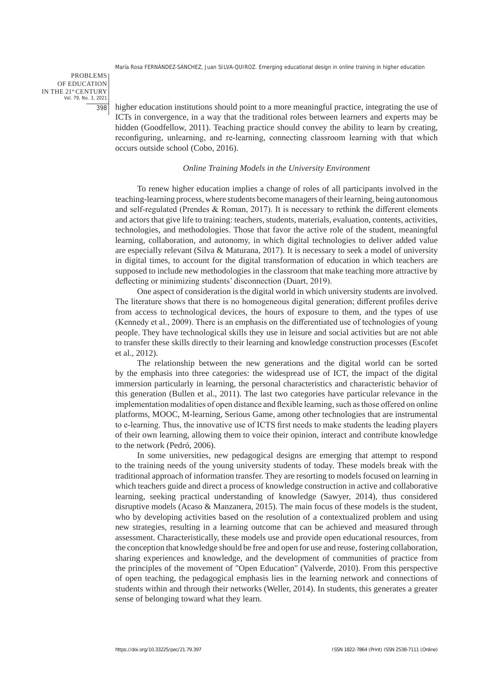PROBLEMS OF EDUCATION IN THE 21st CENTURY Vol. 79, No. 3, 2021 398

higher education institutions should point to a more meaningful practice, integrating the use of ICTs in convergence, in a way that the traditional roles between learners and experts may be hidden (Goodfellow, 2011). Teaching practice should convey the ability to learn by creating, reconfiguring, unlearning, and re-learning, connecting classroom learning with that which occurs outside school (Cobo, 2016).

#### *Online Training Models in the University Environment*

To renew higher education implies a change of roles of all participants involved in the teaching-learning process, where students become managers of their learning, being autonomous and self-regulated (Prendes & Roman, 2017). It is necessary to rethink the different elements and actors that give life to training: teachers, students, materials, evaluation, contents, activities, technologies, and methodologies. Those that favor the active role of the student, meaningful learning, collaboration, and autonomy, in which digital technologies to deliver added value are especially relevant (Silva & Maturana, 2017). It is necessary to seek a model of university in digital times, to account for the digital transformation of education in which teachers are supposed to include new methodologies in the classroom that make teaching more attractive by deflecting or minimizing students' disconnection (Duart, 2019).

One aspect of consideration is the digital world in which university students are involved. The literature shows that there is no homogeneous digital generation; different profiles derive from access to technological devices, the hours of exposure to them, and the types of use (Kennedy et al., 2009). There is an emphasis on the differentiated use of technologies of young people. They have technological skills they use in leisure and social activities but are not able to transfer these skills directly to their learning and knowledge construction processes (Escofet et al., 2012).

The relationship between the new generations and the digital world can be sorted by the emphasis into three categories: the widespread use of ICT, the impact of the digital immersion particularly in learning, the personal characteristics and characteristic behavior of this generation (Bullen et al., 2011). The last two categories have particular relevance in the implementation modalities of open distance and flexible learning, such as those offered on online platforms, MOOC, M-learning, Serious Game, among other technologies that are instrumental to e-learning. Thus, the innovative use of ICTS first needs to make students the leading players of their own learning, allowing them to voice their opinion, interact and contribute knowledge to the network (Pedró, 2006).

In some universities, new pedagogical designs are emerging that attempt to respond to the training needs of the young university students of today. These models break with the traditional approach of information transfer. They are resorting to models focused on learning in which teachers guide and direct a process of knowledge construction in active and collaborative learning, seeking practical understanding of knowledge (Sawyer, 2014), thus considered disruptive models (Acaso & Manzanera, 2015). The main focus of these models is the student, who by developing activities based on the resolution of a contextualized problem and using new strategies, resulting in a learning outcome that can be achieved and measured through assessment. Characteristically, these models use and provide open educational resources, from the conception that knowledge should be free and open for use and reuse, fostering collaboration, sharing experiences and knowledge, and the development of communities of practice from the principles of the movement of "Open Education" (Valverde, 2010). From this perspective of open teaching, the pedagogical emphasis lies in the learning network and connections of students within and through their networks (Weller, 2014). In students, this generates a greater sense of belonging toward what they learn.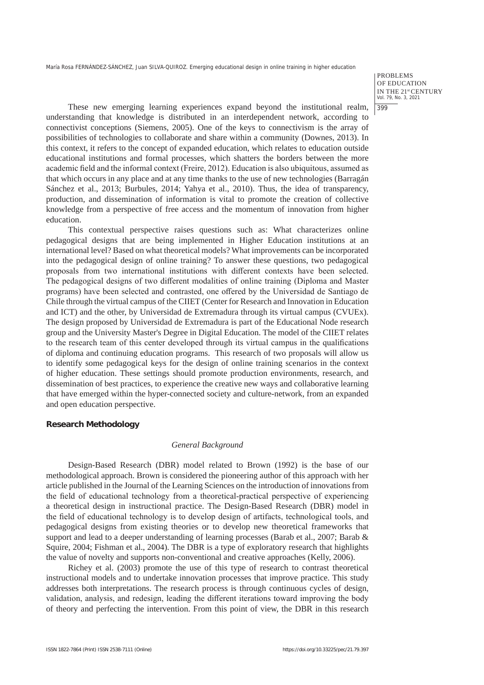PROBLEMS OF EDUCATION IN THE 21st CENTURY Vol. 79, No. 3, 2021 399

These new emerging learning experiences expand beyond the institutional realm, understanding that knowledge is distributed in an interdependent network, according to connectivist conceptions (Siemens, 2005). One of the keys to connectivism is the array of possibilities of technologies to collaborate and share within a community (Downes, 2013). In this context, it refers to the concept of expanded education, which relates to education outside educational institutions and formal processes, which shatters the borders between the more academic field and the informal context (Freire, 2012). Education is also ubiquitous, assumed as that which occurs in any place and at any time thanks to the use of new technologies (Barragán Sánchez et al., 2013; Burbules, 2014; Yahya et al., 2010). Thus, the idea of transparency, production, and dissemination of information is vital to promote the creation of collective knowledge from a perspective of free access and the momentum of innovation from higher education.

This contextual perspective raises questions such as: What characterizes online pedagogical designs that are being implemented in Higher Education institutions at an international level? Based on what theoretical models? What improvements can be incorporated into the pedagogical design of online training? To answer these questions, two pedagogical proposals from two international institutions with different contexts have been selected. The pedagogical designs of two different modalities of online training (Diploma and Master programs) have been selected and contrasted, one offered by the Universidad de Santiago de Chile through the virtual campus of the CIIET (Center for Research and Innovation in Education and ICT) and the other, by Universidad de Extremadura through its virtual campus (CVUEx). The design proposed by Universidad de Extremadura is part of the Educational Node research group and the University Master's Degree in Digital Education. The model of the CIIET relates to the research team of this center developed through its virtual campus in the qualifications of diploma and continuing education programs. This research of two proposals will allow us to identify some pedagogical keys for the design of online training scenarios in the context of higher education. These settings should promote production environments, research, and dissemination of best practices, to experience the creative new ways and collaborative learning that have emerged within the hyper-connected society and culture-network, from an expanded and open education perspective.

## **Research Methodology**

#### *General Background*

Design-Based Research (DBR) model related to Brown (1992) is the base of our methodological approach. Brown is considered the pioneering author of this approach with her article published in the Journal of the Learning Sciences on the introduction of innovations from the field of educational technology from a theoretical-practical perspective of experiencing a theoretical design in instructional practice. The Design-Based Research (DBR) model in the field of educational technology is to develop design of artifacts, technological tools, and pedagogical designs from existing theories or to develop new theoretical frameworks that support and lead to a deeper understanding of learning processes (Barab et al., 2007; Barab & Squire, 2004; Fishman et al., 2004). The DBR is a type of exploratory research that highlights the value of novelty and supports non-conventional and creative approaches (Kelly, 2006).

Richey et al. (2003) promote the use of this type of research to contrast theoretical instructional models and to undertake innovation processes that improve practice. This study addresses both interpretations. The research process is through continuous cycles of design, validation, analysis, and redesign, leading the different iterations toward improving the body of theory and perfecting the intervention. From this point of view, the DBR in this research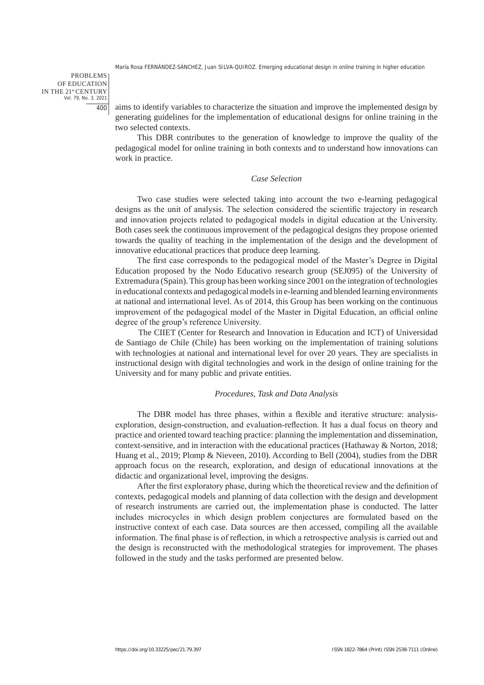PROBLEMS OF EDUCATION IN THE 21st CENTURY Vol. 79, No. 3, 2021 400

aims to identify variables to characterize the situation and improve the implemented design by generating guidelines for the implementation of educational designs for online training in the two selected contexts.

This DBR contributes to the generation of knowledge to improve the quality of the pedagogical model for online training in both contexts and to understand how innovations can work in practice.

# *Case Selection*

Two case studies were selected taking into account the two e-learning pedagogical designs as the unit of analysis. The selection considered the scientific trajectory in research and innovation projects related to pedagogical models in digital education at the University. Both cases seek the continuous improvement of the pedagogical designs they propose oriented towards the quality of teaching in the implementation of the design and the development of innovative educational practices that produce deep learning.

The first case corresponds to the pedagogical model of the Master's Degree in Digital Education proposed by the Nodo Educativo research group (SEJ095) of the University of Extremadura (Spain). This group has been working since 2001 on the integration of technologies in educational contexts and pedagogical models in e-learning and blended learning environments at national and international level. As of 2014, this Group has been working on the continuous improvement of the pedagogical model of the Master in Digital Education, an official online degree of the group's reference University.

The CIIET (Center for Research and Innovation in Education and ICT) of Universidad de Santiago de Chile (Chile) has been working on the implementation of training solutions with technologies at national and international level for over 20 years. They are specialists in instructional design with digital technologies and work in the design of online training for the University and for many public and private entities.

#### *Procedures, Task and Data Analysis*

The DBR model has three phases, within a flexible and iterative structure: analysisexploration, design-construction, and evaluation-reflection. It has a dual focus on theory and practice and oriented toward teaching practice: planning the implementation and dissemination, context-sensitive, and in interaction with the educational practices (Hathaway & Norton, 2018; Huang et al., 2019; Plomp & Nieveen, 2010). According to Bell (2004), studies from the DBR approach focus on the research, exploration, and design of educational innovations at the didactic and organizational level, improving the designs.

After the first exploratory phase, during which the theoretical review and the definition of contexts, pedagogical models and planning of data collection with the design and development of research instruments are carried out, the implementation phase is conducted. The latter includes microcycles in which design problem conjectures are formulated based on the instructive context of each case. Data sources are then accessed, compiling all the available information. The final phase is of reflection, in which a retrospective analysis is carried out and the design is reconstructed with the methodological strategies for improvement. The phases followed in the study and the tasks performed are presented below.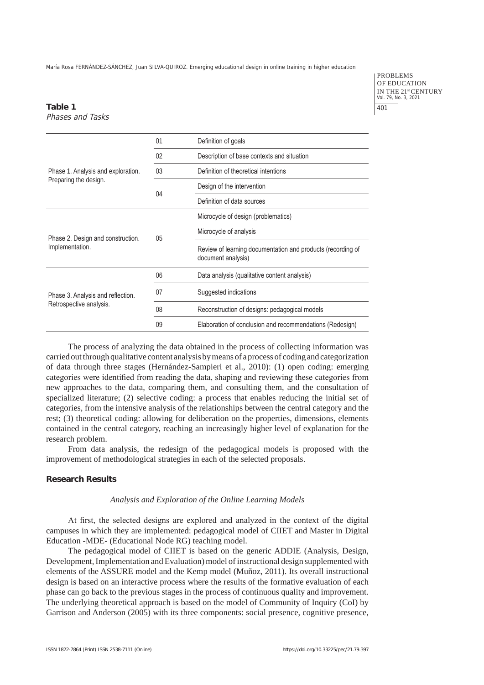PROBLEMS OF EDUCATION IN THE 21st CENTURY Vol. 79, No. 3, 2021 401

## **Table 1** Phases and Tasks

| Phase 1. Analysis and exploration.<br>Preparing the design.  | 01             | Definition of goals                                                               |
|--------------------------------------------------------------|----------------|-----------------------------------------------------------------------------------|
|                                                              | 02             | Description of base contexts and situation                                        |
|                                                              | 0 <sub>3</sub> | Definition of theoretical intentions                                              |
|                                                              | 04             | Design of the intervention                                                        |
|                                                              |                | Definition of data sources                                                        |
| Phase 2. Design and construction.<br>Implementation.         | 05             | Microcycle of design (problematics)                                               |
|                                                              |                | Microcycle of analysis                                                            |
|                                                              |                | Review of learning documentation and products (recording of<br>document analysis) |
| Phase 3. Analysis and reflection.<br>Retrospective analysis. | 06             | Data analysis (qualitative content analysis)                                      |
|                                                              | 07             | Suggested indications                                                             |
|                                                              | 08             | Reconstruction of designs: pedagogical models                                     |
|                                                              | 09             | Elaboration of conclusion and recommendations (Redesign)                          |

The process of analyzing the data obtained in the process of collecting information was carried out through qualitative content analysis by means of a process of coding and categorization of data through three stages (Hernández-Sampieri et al., 2010): (1) open coding: emerging categories were identified from reading the data, shaping and reviewing these categories from new approaches to the data, comparing them, and consulting them, and the consultation of specialized literature; (2) selective coding: a process that enables reducing the initial set of categories, from the intensive analysis of the relationships between the central category and the rest; (3) theoretical coding: allowing for deliberation on the properties, dimensions, elements contained in the central category, reaching an increasingly higher level of explanation for the research problem.

From data analysis, the redesign of the pedagogical models is proposed with the improvement of methodological strategies in each of the selected proposals.

# **Research Results**

# *Analysis and Exploration of the Online Learning Models*

At first, the selected designs are explored and analyzed in the context of the digital campuses in which they are implemented: pedagogical model of CIIET and Master in Digital Education -MDE- (Educational Node RG) teaching model.

The pedagogical model of CIIET is based on the generic ADDIE (Analysis, Design, Development, Implementation and Evaluation) model of instructional design supplemented with elements of the ASSURE model and the Kemp model (Muñoz, 2011). Its overall instructional design is based on an interactive process where the results of the formative evaluation of each phase can go back to the previous stages in the process of continuous quality and improvement. The underlying theoretical approach is based on the model of Community of Inquiry (CoI) by Garrison and Anderson (2005) with its three components: social presence, cognitive presence,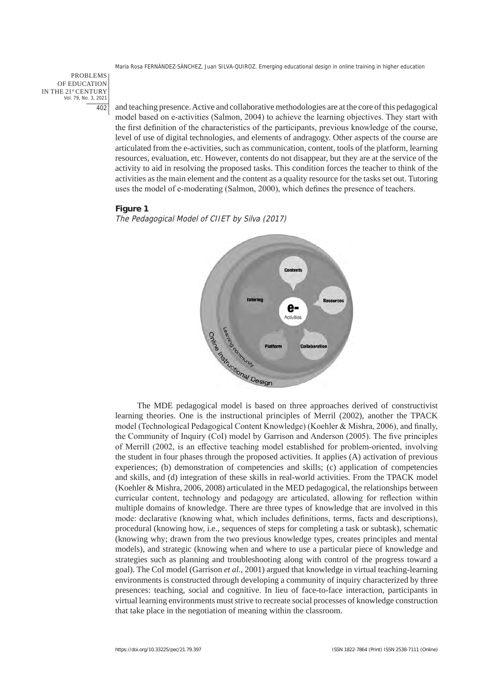PROBLEMS OF EDUCATION IN THE 21st CENTURY Vol. 79, No. 3, 2021 402

and teaching presence. Active and collaborative methodologies are at the core of this pedagogical model based on e-activities (Salmon, 2004) to achieve the learning objectives. They start with the first definition of the characteristics of the participants, previous knowledge of the course, level of use of digital technologies, and elements of andragogy. Other aspects of the course are articulated from the e-activities, such as communication, content, tools of the platform, learning resources, evaluation, etc. However, contents do not disappear, but they are at the service of the activity to aid in resolving the proposed tasks. This condition forces the teacher to think of the activities as the main element and the content as a quality resource for the tasks set out. Tutoring uses the model of e-moderating (Salmon, 2000), which defines the presence of teachers.

#### **Figure 1**

The Pedagogical Model of CIIET by Silva (2017)



learning theories. One is the instructional principles of Merril (2002), another the TPACK model (Technological Pedagogical Content Knowledge) (Koehler & Mishra, 2006), and finally, the Community of Inquiry (CoI) model by Garrison and Anderson (2005). The five principles of Merrill (2002, is an effective teaching model established for problem-oriented, involving the student in four phases through the proposed activities. It applies (A) activation of previous experiences; (b) demonstration of competencies and skills; (c) application of competencies and skills, and (d) integration of these skills in real-world activities. From the TPACK model (Koehler & Mishra, 2006, 2008) articulated in the MED pedagogical, the relationships between curricular content, technology and pedagogy are articulated, allowing for reflection within multiple domains of knowledge. There are three types of knowledge that are involved in this mode: declarative (knowing what, which includes definitions, terms, facts and descriptions), procedural (knowing how, i.e., sequences of steps for completing a task or subtask), schematic (knowing why; drawn from the two previous knowledge types, creates principles and mental models), and strategic (knowing when and where to use a particular piece of knowledge and strategies such as planning and troubleshooting along with control of the progress toward a goal). The CoI model (Garrison *et al.*, 2001) argued that knowledge in virtual teaching-learning environments is constructed through developing a community of inquiry characterized by three presences: teaching, social and cognitive. In lieu of face-to-face interaction, participants in virtual learning environments must strive to recreate social processes of knowledge construction that take place in the negotiation of meaning within the classroom.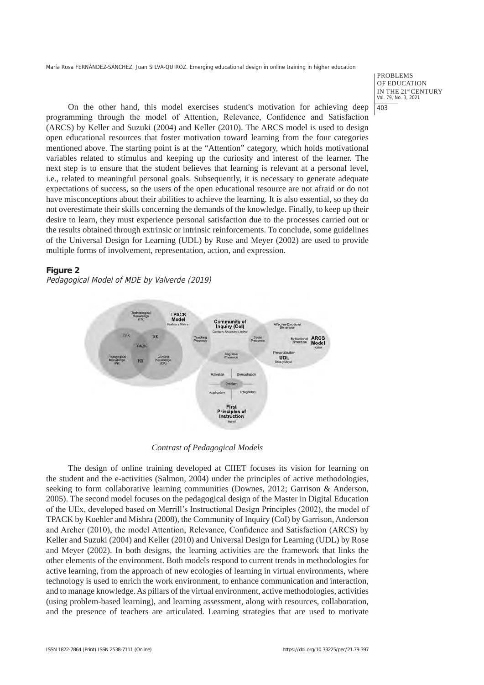PROBLEMS OF EDUCATION IN THE 21st CENTURY Vol. 79, No. 3, 2021 403

On the other hand, this model exercises student's motivation for achieving deep programming through the model of Attention, Relevance, Confidence and Satisfaction (ARCS) by Keller and Suzuki (2004) and Keller (2010). The ARCS model is used to design open educational resources that foster motivation toward learning from the four categories mentioned above. The starting point is at the "Attention" category, which holds motivational variables related to stimulus and keeping up the curiosity and interest of the learner. The next step is to ensure that the student believes that learning is relevant at a personal level, i.e., related to meaningful personal goals. Subsequently, it is necessary to generate adequate expectations of success, so the users of the open educational resource are not afraid or do not have misconceptions about their abilities to achieve the learning. It is also essential, so they do not overestimate their skills concerning the demands of the knowledge. Finally, to keep up their desire to learn, they must experience personal satisfaction due to the processes carried out or the results obtained through extrinsic or intrinsic reinforcements. To conclude, some guidelines of the Universal Design for Learning (UDL) by Rose and Meyer (2002) are used to provide multiple forms of involvement, representation, action, and expression.

# **Figure 2**

Pedagogical Model of MDE by Valverde (2019)



*Contrast of Pedagogical Models*

The design of online training developed at CIIET focuses its vision for learning on the student and the e-activities (Salmon, 2004) under the principles of active methodologies, seeking to form collaborative learning communities (Downes, 2012; Garrison & Anderson, 2005). The second model focuses on the pedagogical design of the Master in Digital Education of the UEx, developed based on Merrill's Instructional Design Principles (2002), the model of TPACK by Koehler and Mishra (2008), the Community of Inquiry (CoI) by Garrison, Anderson and Archer (2010), the model Attention, Relevance, Confidence and Satisfaction (ARCS) by Keller and Suzuki (2004) and Keller (2010) and Universal Design for Learning (UDL) by Rose and Meyer (2002). In both designs, the learning activities are the framework that links the other elements of the environment. Both models respond to current trends in methodologies for active learning, from the approach of new ecologies of learning in virtual environments, where technology is used to enrich the work environment, to enhance communication and interaction, and to manage knowledge. As pillars of the virtual environment, active methodologies, activities (using problem-based learning), and learning assessment, along with resources, collaboration, and the presence of teachers are articulated. Learning strategies that are used to motivate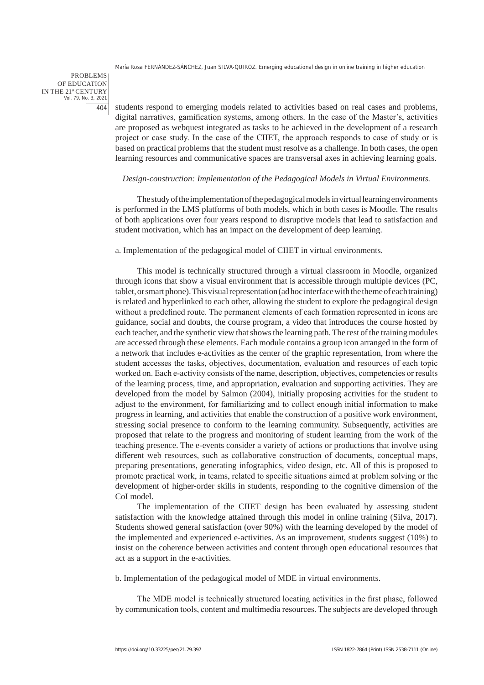PROBLEMS OF EDUCATION IN THE 21st CENTURY  $\frac{21}{10}$  -  $\frac{20}{10}$  -  $\frac{2021}{10}$ 404

students respond to emerging models related to activities based on real cases and problems, digital narratives, gamification systems, among others. In the case of the Master's, activities are proposed as webquest integrated as tasks to be achieved in the development of a research project or case study. In the case of the CIIET, the approach responds to case of study or is based on practical problems that the student must resolve as a challenge. In both cases, the open learning resources and communicative spaces are transversal axes in achieving learning goals.

#### *Design-construction: Implementation of the Pedagogical Models in Virtual Environments.*

The study of the implementation of the pedagogical models in virtual learning environments is performed in the LMS platforms of both models, which in both cases is Moodle. The results of both applications over four years respond to disruptive models that lead to satisfaction and student motivation, which has an impact on the development of deep learning.

a. Implementation of the pedagogical model of CIIET in virtual environments.

This model is technically structured through a virtual classroom in Moodle, organized through icons that show a visual environment that is accessible through multiple devices (PC, tablet, or smart phone). This visual representation (ad hoc interface with the theme of each training) is related and hyperlinked to each other, allowing the student to explore the pedagogical design without a predefined route. The permanent elements of each formation represented in icons are guidance, social and doubts, the course program, a video that introduces the course hosted by each teacher, and the synthetic view that shows the learning path. The rest of the training modules are accessed through these elements. Each module contains a group icon arranged in the form of a network that includes e-activities as the center of the graphic representation, from where the student accesses the tasks, objectives, documentation, evaluation and resources of each topic worked on. Each e-activity consists of the name, description, objectives, competencies or results of the learning process, time, and appropriation, evaluation and supporting activities. They are developed from the model by Salmon (2004), initially proposing activities for the student to adjust to the environment, for familiarizing and to collect enough initial information to make progress in learning, and activities that enable the construction of a positive work environment, stressing social presence to conform to the learning community. Subsequently, activities are proposed that relate to the progress and monitoring of student learning from the work of the teaching presence. The e-events consider a variety of actions or productions that involve using different web resources, such as collaborative construction of documents, conceptual maps, preparing presentations, generating infographics, video design, etc. All of this is proposed to promote practical work, in teams, related to specific situations aimed at problem solving or the development of higher-order skills in students, responding to the cognitive dimension of the CoI model.

The implementation of the CIIET design has been evaluated by assessing student satisfaction with the knowledge attained through this model in online training (Silva, 2017). Students showed general satisfaction (over 90%) with the learning developed by the model of the implemented and experienced e-activities. As an improvement, students suggest (10%) to insist on the coherence between activities and content through open educational resources that act as a support in the e-activities.

b. Implementation of the pedagogical model of MDE in virtual environments.

The MDE model is technically structured locating activities in the first phase, followed by communication tools, content and multimedia resources. The subjects are developed through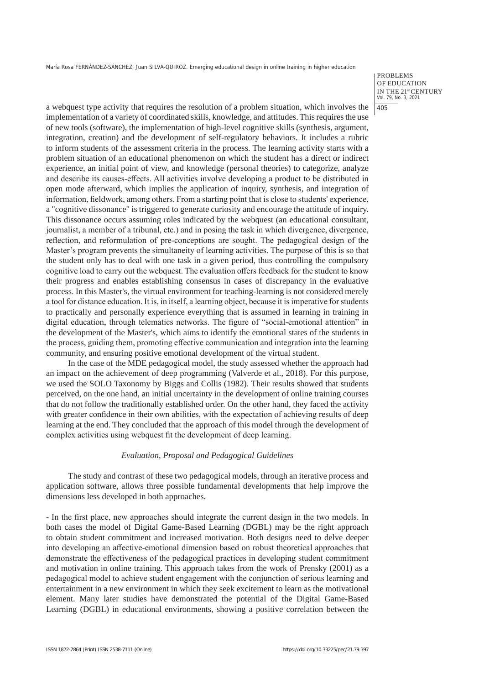PROBLEMS OF EDUCATION IN THE 21st CENTURY Vol. 79, No. 3, 2021 405

a webquest type activity that requires the resolution of a problem situation, which involves the implementation of a variety of coordinated skills, knowledge, and attitudes. This requires the use of new tools (software), the implementation of high-level cognitive skills (synthesis, argument, integration, creation) and the development of self-regulatory behaviors. It includes a rubric to inform students of the assessment criteria in the process. The learning activity starts with a problem situation of an educational phenomenon on which the student has a direct or indirect experience, an initial point of view, and knowledge (personal theories) to categorize, analyze and describe its causes-effects. All activities involve developing a product to be distributed in open mode afterward, which implies the application of inquiry, synthesis, and integration of information, fieldwork, among others. From a starting point that is close to students' experience, a "cognitive dissonance" is triggered to generate curiosity and encourage the attitude of inquiry. This dissonance occurs assuming roles indicated by the webquest (an educational consultant, journalist, a member of a tribunal, etc.) and in posing the task in which divergence, divergence, reflection, and reformulation of pre-conceptions are sought. The pedagogical design of the Master's program prevents the simultaneity of learning activities. The purpose of this is so that the student only has to deal with one task in a given period, thus controlling the compulsory cognitive load to carry out the webquest. The evaluation offers feedback for the student to know their progress and enables establishing consensus in cases of discrepancy in the evaluative process. In this Master's, the virtual environment for teaching-learning is not considered merely a tool for distance education. It is, in itself, a learning object, because it is imperative for students to practically and personally experience everything that is assumed in learning in training in digital education, through telematics networks. The figure of "social-emotional attention" in the development of the Master's, which aims to identify the emotional states of the students in the process, guiding them, promoting effective communication and integration into the learning community, and ensuring positive emotional development of the virtual student.

In the case of the MDE pedagogical model, the study assessed whether the approach had an impact on the achievement of deep programming (Valverde et al., 2018). For this purpose, we used the SOLO Taxonomy by Biggs and Collis (1982). Their results showed that students perceived, on the one hand, an initial uncertainty in the development of online training courses that do not follow the traditionally established order. On the other hand, they faced the activity with greater confidence in their own abilities, with the expectation of achieving results of deep learning at the end. They concluded that the approach of this model through the development of complex activities using webquest fit the development of deep learning.

#### *Evaluation, Proposal and Pedagogical Guidelines*

The study and contrast of these two pedagogical models, through an iterative process and application software, allows three possible fundamental developments that help improve the dimensions less developed in both approaches.

- In the first place, new approaches should integrate the current design in the two models. In both cases the model of Digital Game-Based Learning (DGBL) may be the right approach to obtain student commitment and increased motivation. Both designs need to delve deeper into developing an affective-emotional dimension based on robust theoretical approaches that demonstrate the effectiveness of the pedagogical practices in developing student commitment and motivation in online training. This approach takes from the work of Prensky (2001) as a pedagogical model to achieve student engagement with the conjunction of serious learning and entertainment in a new environment in which they seek excitement to learn as the motivational element. Many later studies have demonstrated the potential of the Digital Game-Based Learning (DGBL) in educational environments, showing a positive correlation between the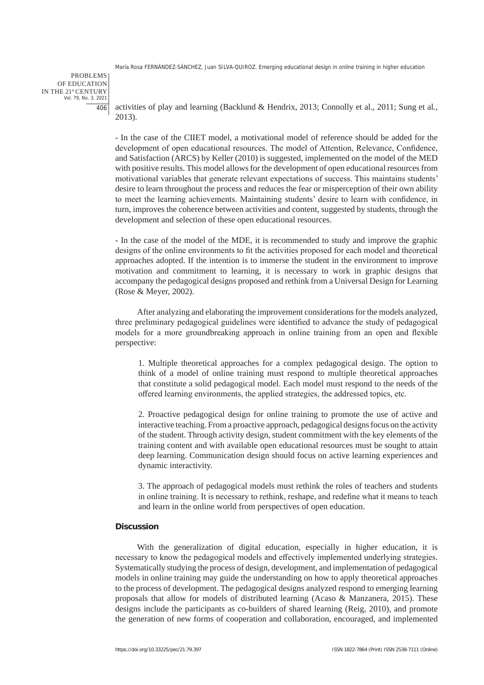PROBLEMS OF EDUCATION IN THE 21st CENTURY Vol. 79, No. 3, 2021 406

activities of play and learning (Backlund & Hendrix, 2013; Connolly et al., 2011; Sung et al*.*, 2013).

- In the case of the CIIET model, a motivational model of reference should be added for the development of open educational resources. The model of Attention, Relevance, Confidence, and Satisfaction (ARCS) by Keller (2010) is suggested, implemented on the model of the MED with positive results. This model allows for the development of open educational resources from motivational variables that generate relevant expectations of success. This maintains students' desire to learn throughout the process and reduces the fear or misperception of their own ability to meet the learning achievements. Maintaining students' desire to learn with confidence, in turn, improves the coherence between activities and content, suggested by students, through the development and selection of these open educational resources.

- In the case of the model of the MDE, it is recommended to study and improve the graphic designs of the online environments to fit the activities proposed for each model and theoretical approaches adopted. If the intention is to immerse the student in the environment to improve motivation and commitment to learning, it is necessary to work in graphic designs that accompany the pedagogical designs proposed and rethink from a Universal Design for Learning (Rose & Meyer, 2002).

After analyzing and elaborating the improvement considerations for the models analyzed, three preliminary pedagogical guidelines were identified to advance the study of pedagogical models for a more groundbreaking approach in online training from an open and flexible perspective:

1. Multiple theoretical approaches for a complex pedagogical design. The option to think of a model of online training must respond to multiple theoretical approaches that constitute a solid pedagogical model. Each model must respond to the needs of the offered learning environments, the applied strategies, the addressed topics, etc.

2. Proactive pedagogical design for online training to promote the use of active and interactive teaching. From a proactive approach, pedagogical designs focus on the activity of the student. Through activity design, student commitment with the key elements of the training content and with available open educational resources must be sought to attain deep learning. Communication design should focus on active learning experiences and dynamic interactivity.

3. The approach of pedagogical models must rethink the roles of teachers and students in online training. It is necessary to rethink, reshape, and redefine what it means to teach and learn in the online world from perspectives of open education.

## **Discussion**

With the generalization of digital education, especially in higher education, it is necessary to know the pedagogical models and effectively implemented underlying strategies. Systematically studying the process of design, development, and implementation of pedagogical models in online training may guide the understanding on how to apply theoretical approaches to the process of development. The pedagogical designs analyzed respond to emerging learning proposals that allow for models of distributed learning (Acaso  $\&$  Manzanera, 2015). These designs include the participants as co-builders of shared learning (Reig, 2010), and promote the generation of new forms of cooperation and collaboration, encouraged, and implemented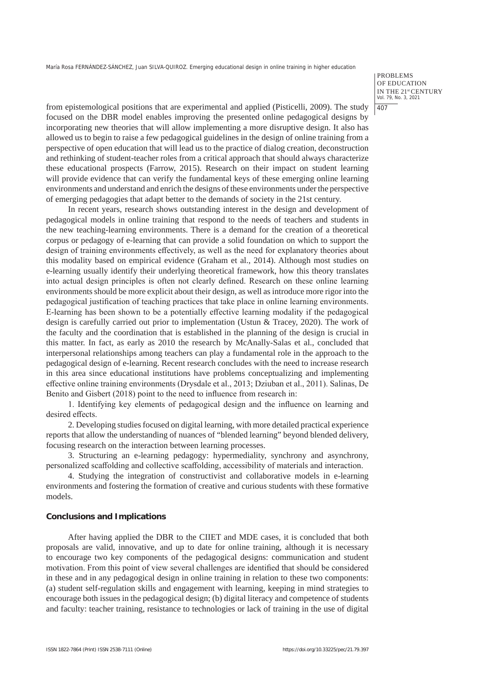PROBLEMS OF EDUCATION IN THE 21st CENTURY Vol. 79, No. 3, 2021 407

from epistemological positions that are experimental and applied (Pisticelli, 2009). The study focused on the DBR model enables improving the presented online pedagogical designs by incorporating new theories that will allow implementing a more disruptive design. It also has allowed us to begin to raise a few pedagogical guidelines in the design of online training from a perspective of open education that will lead us to the practice of dialog creation, deconstruction and rethinking of student-teacher roles from a critical approach that should always characterize these educational prospects (Farrow, 2015). Research on their impact on student learning will provide evidence that can verify the fundamental keys of these emerging online learning environments and understand and enrich the designs of these environments under the perspective of emerging pedagogies that adapt better to the demands of society in the 21st century.

In recent years, research shows outstanding interest in the design and development of pedagogical models in online training that respond to the needs of teachers and students in the new teaching-learning environments. There is a demand for the creation of a theoretical corpus or pedagogy of e-learning that can provide a solid foundation on which to support the design of training environments effectively, as well as the need for explanatory theories about this modality based on empirical evidence (Graham et al., 2014). Although most studies on e-learning usually identify their underlying theoretical framework, how this theory translates into actual design principles is often not clearly defined. Research on these online learning environments should be more explicit about their design, as well as introduce more rigor into the pedagogical justification of teaching practices that take place in online learning environments. E-learning has been shown to be a potentially effective learning modality if the pedagogical design is carefully carried out prior to implementation (Ustun & Tracey, 2020). The work of the faculty and the coordination that is established in the planning of the design is crucial in this matter. In fact, as early as 2010 the research by McAnally-Salas et al., concluded that interpersonal relationships among teachers can play a fundamental role in the approach to the pedagogical design of e-learning. Recent research concludes with the need to increase research in this area since educational institutions have problems conceptualizing and implementing effective online training environments (Drysdale et al., 2013; Dziuban et al., 2011). Salinas, De Benito and Gisbert (2018) point to the need to influence from research in:

1. Identifying key elements of pedagogical design and the influence on learning and desired effects.

2. Developing studies focused on digital learning, with more detailed practical experience reports that allow the understanding of nuances of "blended learning" beyond blended delivery, focusing research on the interaction between learning processes.

3. Structuring an e-learning pedagogy: hypermediality, synchrony and asynchrony, personalized scaffolding and collective scaffolding, accessibility of materials and interaction.

4. Studying the integration of constructivist and collaborative models in e-learning environments and fostering the formation of creative and curious students with these formative models.

#### **Conclusions and Implications**

After having applied the DBR to the CIIET and MDE cases, it is concluded that both proposals are valid, innovative, and up to date for online training, although it is necessary to encourage two key components of the pedagogical designs: communication and student motivation. From this point of view several challenges are identified that should be considered in these and in any pedagogical design in online training in relation to these two components: (a) student self-regulation skills and engagement with learning, keeping in mind strategies to encourage both issues in the pedagogical design; (b) digital literacy and competence of students and faculty: teacher training, resistance to technologies or lack of training in the use of digital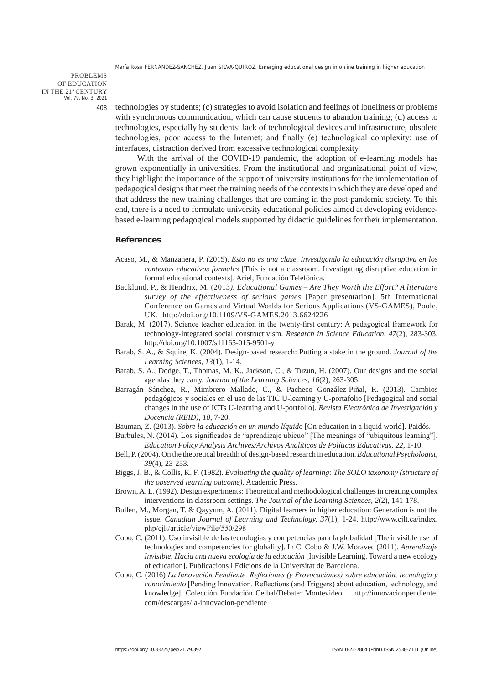PROBLEMS OF EDUCATION IN THE 21st CENTURY Vol. 79, No. 3, 2021 408

technologies by students; (c) strategies to avoid isolation and feelings of loneliness or problems with synchronous communication, which can cause students to abandon training; (d) access to technologies, especially by students: lack of technological devices and infrastructure, obsolete technologies, poor access to the Internet; and finally (e) technological complexity: use of interfaces, distraction derived from excessive technological complexity.

With the arrival of the COVID-19 pandemic, the adoption of e-learning models has grown exponentially in universities. From the institutional and organizational point of view, they highlight the importance of the support of university institutions for the implementation of pedagogical designs that meet the training needs of the contexts in which they are developed and that address the new training challenges that are coming in the post-pandemic society. To this end, there is a need to formulate university educational policies aimed at developing evidencebased e-learning pedagogical models supported by didactic guidelines for their implementation.

## **References**

- Acaso, M., & Manzanera, P. (2015). *Esto no es una clase. Investigando la educación disruptiva en los contextos educativos formales* [This is not a classroom. Investigating disruptive education in formal educational contexts]. Ariel, Fundación Telefónica.
- Backlund, P., & Hendrix, M. (2013*). Educational Games Are They Worth the Effort? A literature survey of the effectiveness of serious games* [Paper presentation]. 5th International Conference on Games and Virtual Worlds for Serious Applications (VS-GAMES), Poole, UK. http://doi.org/10.1109/VS-GAMES.2013.6624226
- Barak, M. (2017). Science teacher education in the twenty-first century: A pedagogical framework for technology-integrated social constructivism. *Research in Science Education, 47*(2), 283-303. http://doi.org/10.1007/s11165-015-9501-y
- Barab, S. A., & Squire, K. (2004). Design-based research: Putting a stake in the ground. *Journal of the Learning Sciences, 13*(1), 1-14.
- Barab, S. A., Dodge, T., Thomas, M. K., Jackson, C., & Tuzun, H. (2007). Our designs and the social agendas they carry. *Journal of the Learning Sciences, 16*(2), 263-305.
- Barragán Sánchez, R., Mimbrero Mallado, C., & Pacheco González-Piñal, R. (2013). Cambios pedagógicos y sociales en el uso de las TIC U-learning y U-portafolio [Pedagogical and social changes in the use of ICTs U-learning and U-portfolio]. *Revista Electrónica de Investigación y Docencia (REID), 10*, 7-20.
- Bauman, Z. (2013). *Sobre la educación en un mundo líquido* [On education in a liquid world]. Paidós.
- Burbules, N. (2014). Los significados de "aprendizaje ubicuo" [The meanings of "ubiquitous learning"]. *Education Policy Analysis Archives/Archivos Analíticos de Políticas Educativas, 22*, 1-10.
- Bell, P. (2004). On the theoretical breadth of design-based research in education. *Educational Psychologist, 39*(4), 23-253.
- Biggs, J. B., & Collis, K. F. (1982). *Evaluating the quality of learning: The SOLO taxonomy (structure of the observed learning outcome)*. Academic Press.
- Brown, A. L. (1992). Design experiments: Theoretical and methodological challenges in creating complex interventions in classroom settings. *The Journal of the Learning Sciences, 2*(2), 141-178.
- Bullen, M., Morgan, T. & Qayyum, A. (2011). Digital learners in higher education: Generation is not the issue. *Canadian Journal of Learning and Technology, 37*(1), 1-24. http://www.cjlt.ca/index. php/cjlt/article/viewFile/550/298
- Cobo, C. (2011). Uso invisible de las tecnologías y competencias para la globalidad [The invisible use of technologies and competencies for globality]. In C. Cobo & J.W. Moravec (2011). *Aprendizaje Invisible. Hacia una nueva ecología de la educación* [Invisible Learning. Toward a new ecology of education]. Publicacions i Edicions de la Universitat de Barcelona.
- Cobo, C. (2016) *La Innovación Pendiente. Reflexiones (y Provocaciones) sobre educación, tecnología y conocimiento* [Pending Innovation. Reflections (and Triggers) about education, technology, and knowledge]. Colección Fundación Ceibal/Debate: Montevideo. http://innovacionpendiente. com/descargas/la-innovacion-pendiente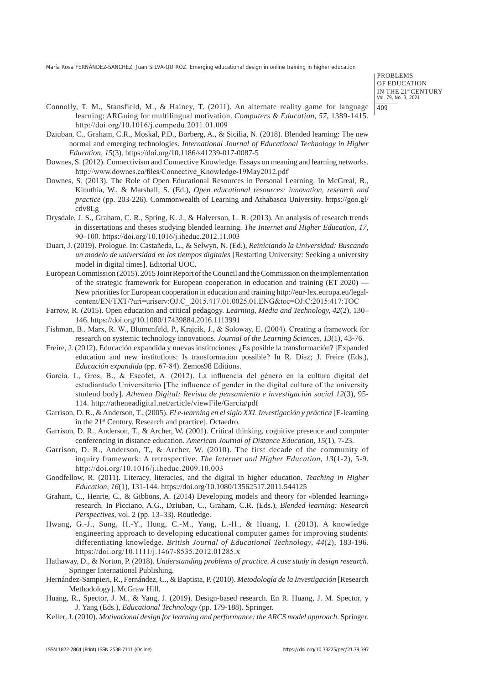PROBLEMS OF EDUCATION IN THE 21st CENTURY Vol. 79, No. 3, 2021 409

- Connolly, T. M., Stansfield, M., & Hainey, T. (2011). An alternate reality game for language learning: ARGuing for multilingual motivation. *Computers & Education, 57*, 1389-1415. http://doi.org/10.1016/j.compedu.2011.01.009
- Dziuban, C., Graham, C.R., Moskal, P.D., Borberg, A., & Sicilia, N. (2018). Blended learning: The new normal and emerging technologies. *International Journal of Educational Technology in Higher Education, 15*(3). https://doi.org/10.1186/s41239-017-0087-5
- Downes, S. (2012). Connectivism and Connective Knowledge. Essays on meaning and learning networks. http://www.downes.ca/files/Connective\_Knowledge-19May2012.pdf
- Downes, S. (2013). The Role of Open Educational Resources in Personal Learning. In McGreal, R., Kinuthia, W., & Marshall, S. (Ed.), *Open educational resources: innovation, research and practice* (pp. 203-226). Commonwealth of Learning and Athabasca University. https://goo.gl/ cdv8Lg
- Drysdale, J. S., Graham, C. R., Spring, K. J., & Halverson, L. R. (2013). An analysis of research trends in dissertations and theses studying blended learning. *The Internet and Higher Education, 17*, 90–100. https://doi.org/10.1016/j.iheduc.2012.11.003
- Duart, J. (2019). Prologue. In: Castañeda, L., & Selwyn, N. (Ed.), *Reiniciando la Universidad: Buscando un modelo de universidad en los tiempos digitales* [Restarting University: Seeking a university model in digital times]. Editorial UOC.
- European Commission (2015). 2015 Joint Report of the Council and the Commission on the implementation of the strategic framework for European cooperation in education and training  $(ET 2020)$ . New priorities for European cooperation in education and training http://eur-lex.europa.eu/legalcontent/EN/TXT/?uri=uriserv:OJ.C\_.2015.417.01.0025.01.ENG&toc=OJ:C:2015:417:TOC
- Farrow, R. (2015). Open education and critical pedagogy. *Learning, Media and Technology, 42*(2), 130– 146. https://doi.org/10.1080/17439884.2016.1113991
- Fishman, B., Marx, R. W., Blumenfeld, P., Krajcik, J., & Soloway, E. (2004). Creating a framework for research on systemic technology innovations. *Journal of the Learning Sciences, 13*(1), 43-76.
- Freire, J. (2012). Educación expandida y nuevas instituciones: ¿Es posible la transformación? [Expanded education and new institutions: Is transformation possible? In R. Díaz; J. Freire (Eds.), *Educación expandida* (pp. 67‐84). Zemos98 Editions.
- García. I., Gros, B., & Escofet, A. (2012). La influencia del género en la cultura digital del estudiantado Universitario [The influence of gender in the digital culture of the university studend body]. *Athenea Digital: Revista de pensamiento e investigación social 12*(3), 95- 114. http://atheneadigital.net/article/viewFile/Garcia/pdf
- Garrison, D. R., & Anderson, T., (2005). *El e-learning en el siglo XXI. Investigación y práctica* [E-learning in the 21st Century. Research and practice]. Octaedro.
- Garrison, D. R., Anderson, T., & Archer, W. (2001). Critical thinking, cognitive presence and computer conferencing in distance education. *American Journal of Distance Education, 15*(1), 7-23.
- Garrison, D. R., Anderson, T., & Archer, W. (2010). The first decade of the community of inquiry framework: A retrospective. *The Internet and Higher Education, 13*(1-2), 5-9. http://doi.org/10.1016/j.iheduc.2009.10.003
- Goodfellow, R. (2011). Literacy, literacies, and the digital in higher education. *Teaching in Higher Education, 16*(1), 131-144. https://doi.org/10.1080/13562517.2011.544125
- Graham, C., Henrie, C., & Gibbons, A. (2014) Developing models and theory for «blended learning» research. In Picciano, A.G., Dziuban, C., Graham, C.R. (Eds.), *Blended learning: Research Perspectives*, vol. 2 (pp. 13–33). Routledge.
- Hwang, G.-J., Sung, H.-Y., Hung, C.-M., Yang, L.-H., & Huang, I. (2013). A knowledge engineering approach to developing educational computer games for improving students' differentiating knowledge. *British Journal of Educational Technology, 44*(2), 183-196. https://doi.org/10.1111/j.1467-8535.2012.01285.x
- Hathaway, D., & Norton, P. (2018). *Understanding problems of practice. A case study in design research*. Springer International Publishing.
- Hernández-Sampieri, R., Fernández, C., & Baptista, P. (2010). *Metodología de la Investigación* [Research Methodology]. McGraw Hill.
- Huang, R., Spector, J. M., & Yang, J. (2019). Design-based research. En R. Huang, J. M. Spector, y J. Yang (Eds.), *Educational Technology* (pp. 179-188). Springer.
- Keller, J. (2010). *Motivational design for learning and performance: the ARCS model approach*. Springer.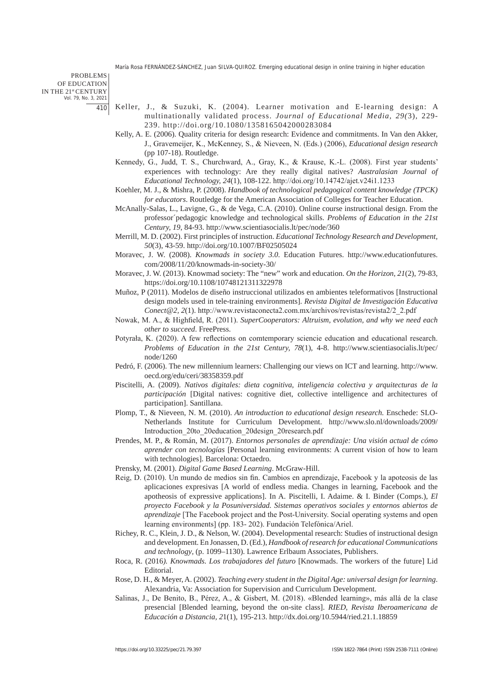PROBLEMS OF EDUCATION IN THE 21st CENTURY Vol. 79, No. 3, 2021 410

- Keller, J., & Suzuki, K. (2004). Learner motivation and E-learning design: A multinationally validated process. *Journal of Educational Media, 29(*3), 229- 239. http://doi.org/10.1080/1358165042000283084
- Kelly, A. E. (2006). Quality criteria for design research: Evidence and commitments. In Van den Akker, J., Gravemeijer, K., McKenney, S., & Nieveen, N. (Eds.) (2006), *Educational design research* (pp 107-18). Routledge.
- Kennedy, G., Judd, T. S., Churchward, A., Gray, K., & Krause, K.-L. (2008). First year students' experiences with technology: Are they really digital natives? *Australasian Journal of Educational Technology, 24*(1), 108-122. http://doi.org/10.14742/ajet.v24i1.1233
- Koehler, M. J., & Mishra, P. (2008). *Handbook of technological pedagogical content knowledge (TPCK) for educators*. Routledge for the American Association of Colleges for Teacher Education.
- McAnally-Salas, L., Lavigne, G., & de Vega, C.A. (2010). Online course instructional design. From the professor´pedagogic knowledge and technological skills. *Problems of Education in the 21st Century, 19*, 84-93. http://www.scientiasocialis.lt/pec/node/360
- Merrill, M. D. (2002). First principles of instruction. *Educational Technology Research and Development, 50*(3), 43-59. http://doi.org/10.1007/BF02505024
- Moravec, J. W. (2008). *Knowmads in society 3.0*. Education Futures. http://www.educationfutures. com/2008/11/20/knowmads-in-society-30/
- Moravec, J. W. (2013). Knowmad society: The "new" work and education. *On the Horizon, 21*(2), 79-83, https://doi.org/10.1108/10748121311322978
- Muñoz, P (2011). Modelos de diseño instruccional utilizados en ambientes teleformativos [Instructional design models used in tele-training environments]. *Revista Digital de Investigación Educativa Conect@2, 2*(1). http://www.revistaconecta2.com.mx/archivos/revistas/revista2/2\_2.pdf
- Nowak, M. A., & Highfield, R. (2011). *SuperCooperators: Altruism, evolution, and why we need each other to succeed*. FreePress.
- Potyrała, K. (2020). A few reflections on comtemporary sciencie education and educational research. *Problems of Education in the 21st Century, 78*(1), 4-8. http://www.scientiasocialis.lt/pec/ node/1260
- Pedró, F. (2006). The new millennium learners: Challenging our views on ICT and learning. http://www. oecd.org/edu/ceri/38358359.pdf
- Piscitelli, A. (2009). *Nativos digitales: dieta cognitiva, inteligencia colectiva y arquitecturas de la participación* [Digital natives: cognitive diet, collective intelligence and architectures of participation]. Santillana.
- Plomp, T., & Nieveen, N. M. (2010). *An introduction to educational design research.* Enschede: SLO-Netherlands Institute for Curriculum Development. http://www.slo.nl/downloads/2009/ Introduction\_20to\_20education\_20design\_20research.pdf
- Prendes, M. P., & Román, M. (2017). *Entornos personales de aprendizaje: Una visión actual de cómo aprender con tecnologías* [Personal learning environments: A current vision of how to learn with technologies]. Barcelona: Octaedro.
- Prensky, M. (2001). *Digital Game Based Learning*. McGraw-Hill.
- Reig, D. (2010). Un mundo de medios sin fin. Cambios en aprendizaje, Facebook y la apoteosis de las aplicaciones expresivas [A world of endless media. Changes in learning, Facebook and the apotheosis of expressive applications]. In A. Piscitelli, I. Adaime. & I. Binder (Comps.), *El proyecto Facebook y la Posuniversidad. Sistemas operativos sociales y entornos abiertos de aprendizaje* [The Facebook project and the Post-University. Social operating systems and open learning environments] (pp. 183‐ 202). Fundación Telefónica/Ariel.
- Richey, R. C., Klein, J. D., & Nelson, W. (2004). Developmental research: Studies of instructional design and development. En Jonassen, D. (Ed.), *Handbook of research for educational Communications and technology*, (p. 1099–1130). Lawrence Erlbaum Associates, Publishers.
- Roca, R. (2016*). Knowmads. Los trabajadores del futuro* [Knowmads. The workers of the future] Lid Editorial.
- Rose, D. H., & Meyer, A. (2002). *Teaching every student in the Digital Age: universal design for learning*. Alexandria, Va: Association for Supervision and Curriculum Development.
- Salinas, J., De Benito, B., Pérez, A., & Gisbert, M. (2018). «Blended learning», más allá de la clase presencial [Blended learning, beyond the on-site class]. *RIED, Revista Iberoamericana de Educación a Distancia, 2*1(1), 195-213. http://dx.doi.org/10.5944/ried.21.1.18859